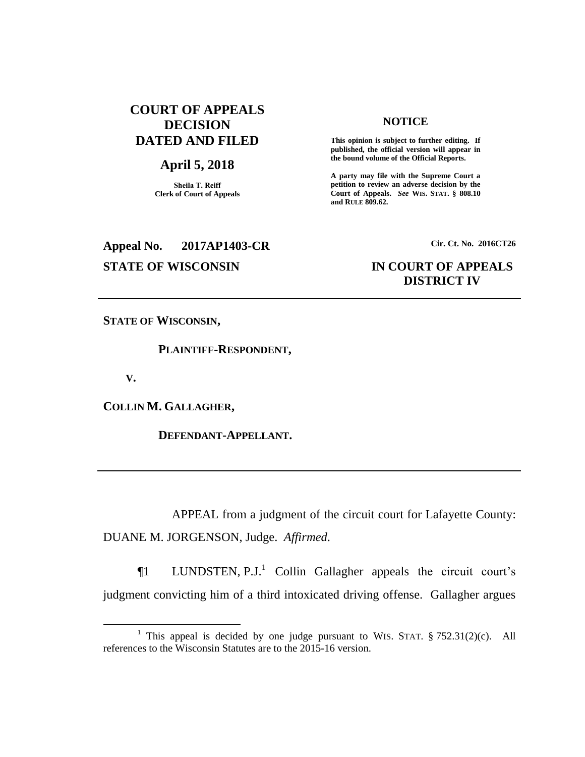## **COURT OF APPEALS DECISION DATED AND FILED**

## **April 5, 2018**

**Sheila T. Reiff Clerk of Court of Appeals**

# **Appeal No. 2017AP1403-CR Cir. Ct. No. 2016CT26**

### **NOTICE**

**This opinion is subject to further editing. If published, the official version will appear in the bound volume of the Official Reports.** 

**A party may file with the Supreme Court a petition to review an adverse decision by the Court of Appeals.** *See* **WIS. STAT. § 808.10 and RULE 809.62.** 

# **STATE OF WISCONSIN IN COURT OF APPEALS DISTRICT IV**

**STATE OF WISCONSIN,**

 **PLAINTIFF-RESPONDENT,**

 **V.**

 $\overline{a}$ 

**COLLIN M. GALLAGHER,**

 **DEFENDANT-APPELLANT.**

APPEAL from a judgment of the circuit court for Lafayette County: DUANE M. JORGENSON, Judge. *Affirmed*.

 $\P1$  LUNDSTEN, P.J.<sup>1</sup> Collin Gallagher appeals the circuit court's judgment convicting him of a third intoxicated driving offense. Gallagher argues

<sup>&</sup>lt;sup>1</sup> This appeal is decided by one judge pursuant to WIS. STAT.  $\S 752.31(2)(c)$ . All references to the Wisconsin Statutes are to the 2015-16 version.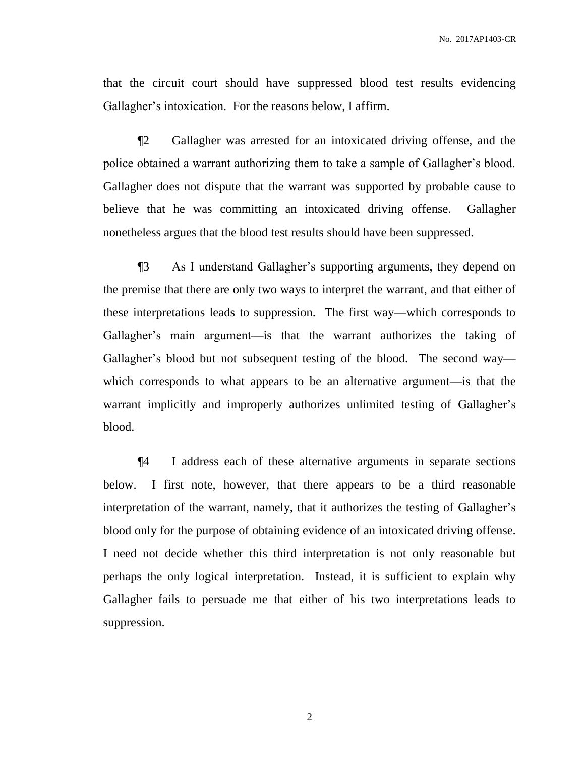that the circuit court should have suppressed blood test results evidencing Gallagher's intoxication. For the reasons below, I affirm.

¶2 Gallagher was arrested for an intoxicated driving offense, and the police obtained a warrant authorizing them to take a sample of Gallagher's blood. Gallagher does not dispute that the warrant was supported by probable cause to believe that he was committing an intoxicated driving offense. Gallagher nonetheless argues that the blood test results should have been suppressed.

¶3 As I understand Gallagher's supporting arguments, they depend on the premise that there are only two ways to interpret the warrant, and that either of these interpretations leads to suppression. The first way—which corresponds to Gallagher's main argument—is that the warrant authorizes the taking of Gallagher's blood but not subsequent testing of the blood. The second way which corresponds to what appears to be an alternative argument—is that the warrant implicitly and improperly authorizes unlimited testing of Gallagher's blood.

¶4 I address each of these alternative arguments in separate sections below. I first note, however, that there appears to be a third reasonable interpretation of the warrant, namely, that it authorizes the testing of Gallagher's blood only for the purpose of obtaining evidence of an intoxicated driving offense. I need not decide whether this third interpretation is not only reasonable but perhaps the only logical interpretation. Instead, it is sufficient to explain why Gallagher fails to persuade me that either of his two interpretations leads to suppression.

2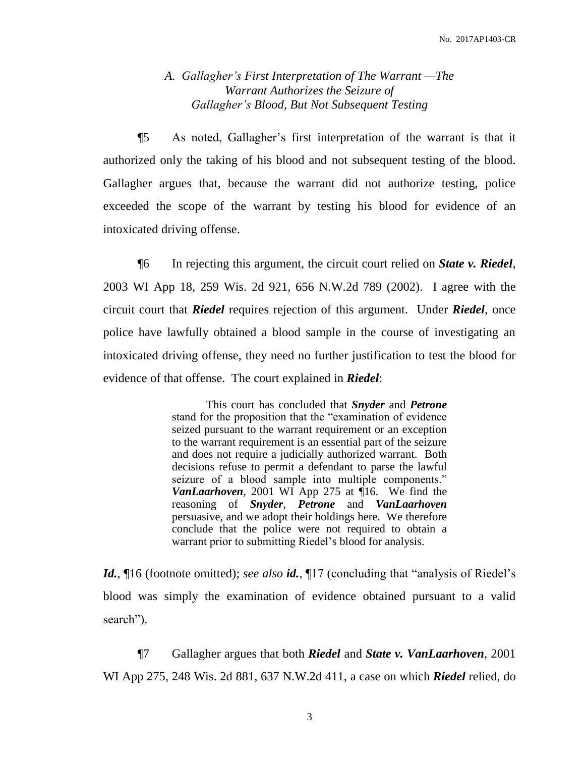## *A. Gallagher's First Interpretation of The Warrant —The Warrant Authorizes the Seizure of Gallagher's Blood, But Not Subsequent Testing*

¶5 As noted, Gallagher's first interpretation of the warrant is that it authorized only the taking of his blood and not subsequent testing of the blood. Gallagher argues that, because the warrant did not authorize testing, police exceeded the scope of the warrant by testing his blood for evidence of an intoxicated driving offense.

¶6 In rejecting this argument, the circuit court relied on *State v. Riedel*, 2003 WI App 18, 259 Wis. 2d 921, 656 N.W.2d 789 (2002). I agree with the circuit court that *Riedel* requires rejection of this argument. Under *Riedel*, once police have lawfully obtained a blood sample in the course of investigating an intoxicated driving offense, they need no further justification to test the blood for evidence of that offense. The court explained in *Riedel*:

> This court has concluded that *Snyder* and *Petrone* stand for the proposition that the "examination of evidence seized pursuant to the warrant requirement or an exception to the warrant requirement is an essential part of the seizure and does not require a judicially authorized warrant. Both decisions refuse to permit a defendant to parse the lawful seizure of a blood sample into multiple components." *VanLaarhoven*, 2001 WI App 275 at ¶16. We find the reasoning of *Snyder*, *Petrone* and *VanLaarhoven* persuasive, and we adopt their holdings here. We therefore conclude that the police were not required to obtain a warrant prior to submitting Riedel's blood for analysis.

*Id.*, 16 (footnote omitted); *see also id.*, 17 (concluding that "analysis of Riedel's blood was simply the examination of evidence obtained pursuant to a valid search").

¶7 Gallagher argues that both *Riedel* and *State v. VanLaarhoven*, 2001 WI App 275, 248 Wis. 2d 881, 637 N.W.2d 411, a case on which *Riedel* relied, do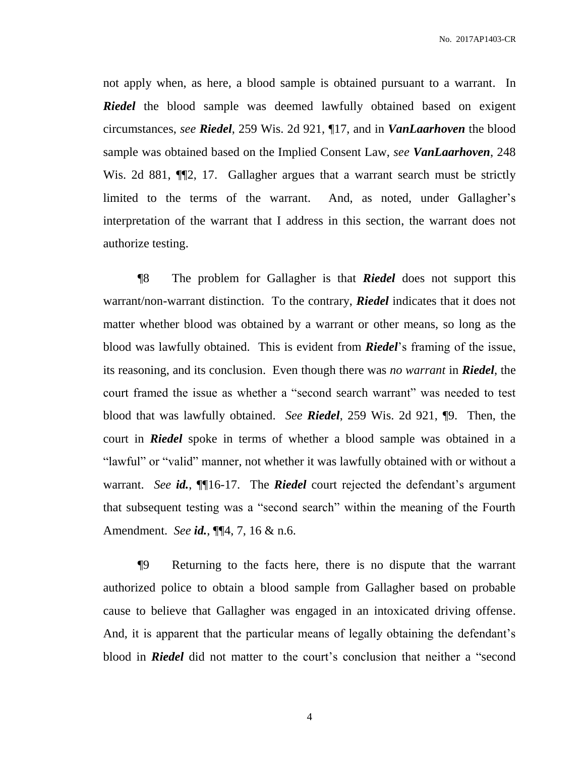not apply when, as here, a blood sample is obtained pursuant to a warrant. In *Riedel* the blood sample was deemed lawfully obtained based on exigent circumstances, *see Riedel*, 259 Wis. 2d 921, ¶17, and in *VanLaarhoven* the blood sample was obtained based on the Implied Consent Law, *see VanLaarhoven*, 248 Wis. 2d 881,  $\P$ 2, 17. Gallagher argues that a warrant search must be strictly limited to the terms of the warrant. And, as noted, under Gallagher's interpretation of the warrant that I address in this section, the warrant does not authorize testing.

¶8 The problem for Gallagher is that *Riedel* does not support this warrant/non-warrant distinction. To the contrary, *Riedel* indicates that it does not matter whether blood was obtained by a warrant or other means, so long as the blood was lawfully obtained. This is evident from *Riedel*'s framing of the issue, its reasoning, and its conclusion. Even though there was *no warrant* in *Riedel*, the court framed the issue as whether a "second search warrant" was needed to test blood that was lawfully obtained. *See Riedel*, 259 Wis. 2d 921, ¶9. Then, the court in *Riedel* spoke in terms of whether a blood sample was obtained in a "lawful" or "valid" manner, not whether it was lawfully obtained with or without a warrant. *See id.*, ¶¶16-17. The *Riedel* court rejected the defendant's argument that subsequent testing was a "second search" within the meaning of the Fourth Amendment. *See id.*, ¶¶4, 7, 16 & n.6.

¶9 Returning to the facts here, there is no dispute that the warrant authorized police to obtain a blood sample from Gallagher based on probable cause to believe that Gallagher was engaged in an intoxicated driving offense. And, it is apparent that the particular means of legally obtaining the defendant's blood in *Riedel* did not matter to the court's conclusion that neither a "second

4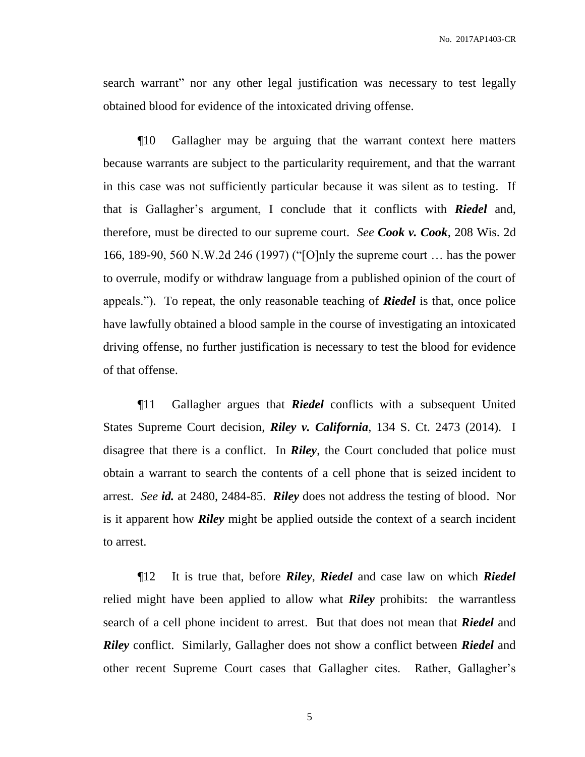search warrant" nor any other legal justification was necessary to test legally obtained blood for evidence of the intoxicated driving offense.

¶10 Gallagher may be arguing that the warrant context here matters because warrants are subject to the particularity requirement, and that the warrant in this case was not sufficiently particular because it was silent as to testing. If that is Gallagher's argument, I conclude that it conflicts with *Riedel* and, therefore, must be directed to our supreme court. *See Cook v. Cook*, 208 Wis. 2d 166, 189-90, 560 N.W.2d 246 (1997) ("[O]nly the supreme court … has the power to overrule, modify or withdraw language from a published opinion of the court of appeals."). To repeat, the only reasonable teaching of *Riedel* is that, once police have lawfully obtained a blood sample in the course of investigating an intoxicated driving offense, no further justification is necessary to test the blood for evidence of that offense.

¶11 Gallagher argues that *Riedel* conflicts with a subsequent United States Supreme Court decision, *Riley v. California*, 134 S. Ct. 2473 (2014). I disagree that there is a conflict. In *Riley*, the Court concluded that police must obtain a warrant to search the contents of a cell phone that is seized incident to arrest. *See id.* at 2480, 2484-85. *Riley* does not address the testing of blood. Nor is it apparent how *Riley* might be applied outside the context of a search incident to arrest.

¶12 It is true that, before *Riley*, *Riedel* and case law on which *Riedel* relied might have been applied to allow what *Riley* prohibits: the warrantless search of a cell phone incident to arrest. But that does not mean that *Riedel* and *Riley* conflict. Similarly, Gallagher does not show a conflict between *Riedel* and other recent Supreme Court cases that Gallagher cites. Rather, Gallagher's

5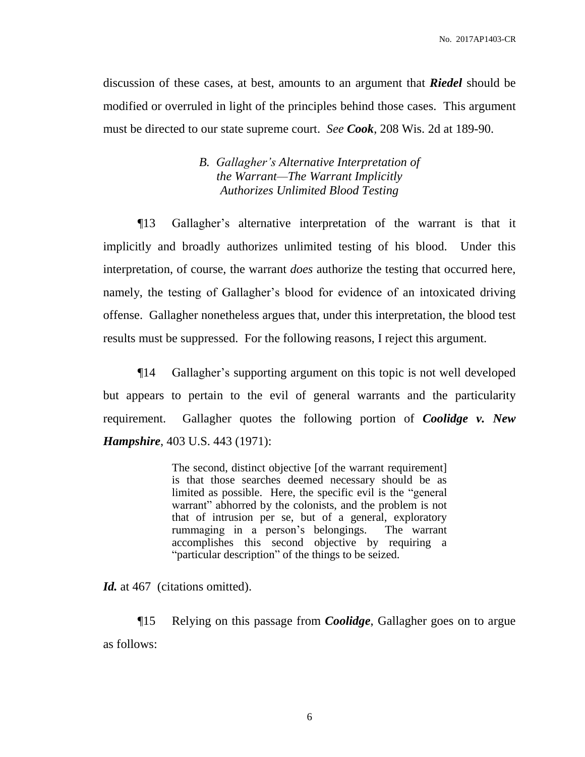discussion of these cases, at best, amounts to an argument that *Riedel* should be modified or overruled in light of the principles behind those cases. This argument must be directed to our state supreme court. *See Cook*, 208 Wis. 2d at 189-90.

## *B. Gallagher's Alternative Interpretation of the Warrant—The Warrant Implicitly Authorizes Unlimited Blood Testing*

¶13 Gallagher's alternative interpretation of the warrant is that it implicitly and broadly authorizes unlimited testing of his blood. Under this interpretation, of course, the warrant *does* authorize the testing that occurred here, namely, the testing of Gallagher's blood for evidence of an intoxicated driving offense. Gallagher nonetheless argues that, under this interpretation, the blood test results must be suppressed. For the following reasons, I reject this argument.

¶14 Gallagher's supporting argument on this topic is not well developed but appears to pertain to the evil of general warrants and the particularity requirement. Gallagher quotes the following portion of *Coolidge v. New Hampshire*, 403 U.S. 443 (1971):

> The second, distinct objective [of the warrant requirement] is that those searches deemed necessary should be as limited as possible. Here, the specific evil is the "general warrant" abhorred by the colonists, and the problem is not that of intrusion per se, but of a general, exploratory rummaging in a person's belongings. The warrant accomplishes this second objective by requiring a "particular description" of the things to be seized.

Id. at 467 (citations omitted).

¶15 Relying on this passage from *Coolidge*, Gallagher goes on to argue as follows: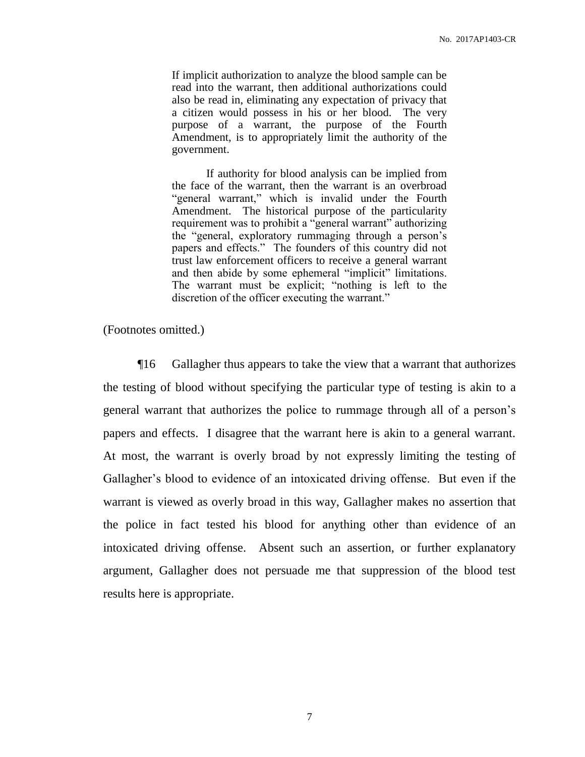If implicit authorization to analyze the blood sample can be read into the warrant, then additional authorizations could also be read in, eliminating any expectation of privacy that a citizen would possess in his or her blood. The very purpose of a warrant, the purpose of the Fourth Amendment, is to appropriately limit the authority of the government.

If authority for blood analysis can be implied from the face of the warrant, then the warrant is an overbroad "general warrant," which is invalid under the Fourth Amendment. The historical purpose of the particularity requirement was to prohibit a "general warrant" authorizing the "general, exploratory rummaging through a person's papers and effects." The founders of this country did not trust law enforcement officers to receive a general warrant and then abide by some ephemeral "implicit" limitations. The warrant must be explicit; "nothing is left to the discretion of the officer executing the warrant."

(Footnotes omitted.)

¶16 Gallagher thus appears to take the view that a warrant that authorizes the testing of blood without specifying the particular type of testing is akin to a general warrant that authorizes the police to rummage through all of a person's papers and effects. I disagree that the warrant here is akin to a general warrant. At most, the warrant is overly broad by not expressly limiting the testing of Gallagher's blood to evidence of an intoxicated driving offense. But even if the warrant is viewed as overly broad in this way, Gallagher makes no assertion that the police in fact tested his blood for anything other than evidence of an intoxicated driving offense. Absent such an assertion, or further explanatory argument, Gallagher does not persuade me that suppression of the blood test results here is appropriate.